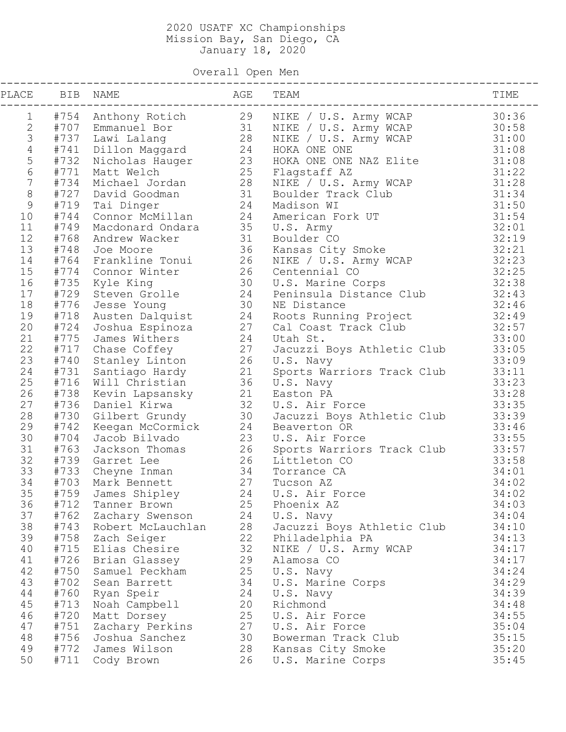Overall Open Men

| PLACE BIB NAME  |              | AGE TEAM                                                                                                       |                                         |                                                                                         | TIME           |
|-----------------|--------------|----------------------------------------------------------------------------------------------------------------|-----------------------------------------|-----------------------------------------------------------------------------------------|----------------|
| $\mathbf{1}$    |              |                                                                                                                |                                         | #754 Anthony Rotich 29 NIKE / U.S. Army WCAP                                            | 30:36          |
|                 |              |                                                                                                                |                                         |                                                                                         | 30:58          |
|                 |              | 2 #707 Emmanuel Bor<br>3 #737 Lawi Lalang 28<br>4 #741 Dillon Maggard 24                                       |                                         | NIKE / U.S. Army WCAP<br>NIKE / U.S. Army WCAP<br>NIKE / U.S. Army WCAP<br>HOKA ONE ONE | 31:00          |
| $\overline{4}$  |              |                                                                                                                |                                         |                                                                                         | 31:08          |
| 5               | #732         | Nicholas Hauger                                                                                                | 23                                      | HOKA ONE ONE NAZ Elite                                                                  | 31:08          |
| $6\overline{6}$ | #771         | Matt Welch                                                                                                     | 25                                      | Flagstaff AZ                                                                            | 31:22          |
| $7\overline{ }$ | #734         |                                                                                                                |                                         | NIKE / U.S. Army WCAP                                                                   | 31:28          |
| $\,8\,$         | #727         |                                                                                                                |                                         | Boulder Track Club                                                                      | 31:34          |
| 9               |              | Michael Jordan (1928)<br>David Goodman (1931)<br>Tai Dinger (1924)<br>#719 Tai Dinger                          |                                         | Madison WI                                                                              | 31:50          |
| 10              | #744         | Connor McMillan 24                                                                                             |                                         | American Fork UT                                                                        | 31:54          |
| 11              | #749         | Macdonard Ondara 35                                                                                            |                                         | U.S. Army                                                                               | 32:01          |
| 12              | #768         | Andrew Wacker                                                                                                  | $\begin{array}{c} 31 \\ 36 \end{array}$ | Boulder CO                                                                              | 32:19          |
| 13              | #748         | Joe Moore                                                                                                      |                                         | Kansas City Smoke                                                                       | 32:21          |
| 14              |              |                                                                                                                |                                         | NIKE / U.S. Army WCAP<br>Centennial CO                                                  | 32:23          |
| 15              |              |                                                                                                                |                                         | Centennial CO                                                                           | 32:25          |
| 16              |              |                                                                                                                |                                         | U.S. Marine Corps                                                                       | 32:38          |
| 17              |              |                                                                                                                |                                         | Peninsula Distance Club                                                                 | 32:43          |
| 18              |              | 174 Connor Winter<br>#735 Kyle King 30<br>#729 Steven Grolle 24<br>#776 Jesse Young 30<br>#718 Austen Dalouist |                                         | NE Distance                                                                             | 32:46          |
| 19              |              |                                                                                                                |                                         | Roots Running Project                                                                   | 32:49          |
| 20              | #724         |                                                                                                                |                                         | Cal Coast Track Club                                                                    | 32:57          |
| 21              |              | #775 James Withers 24<br>#717 Chase Coffey 27<br>#712 Chase Coffey 27                                          |                                         | Utah St.                                                                                | 33:00          |
| 22              |              |                                                                                                                |                                         | Jacuzzi Boys Athletic Club                                                              | 33:05          |
| 23              |              | #740 Stanley Linton 26                                                                                         |                                         | U.S. Navy                                                                               | 33:09          |
| 24              |              | #731 Santiago Hardy 21                                                                                         |                                         | Sports Warriors Track Club                                                              | 33:11          |
| 25              |              | #716 Will Christian                                                                                            | 36                                      | U.S. Navy                                                                               | 33:23          |
| 26              |              | #738 Kevin Lapsansky 21                                                                                        |                                         | Easton PA                                                                               | 33:28          |
| 27              | #736         | Daniel Kirwa                                                                                                   | 32                                      | U.S. Air Force                                                                          | 33:35          |
| 28              | #730         | Gilbert Grundy                                                                                                 | 30                                      | Jacuzzi Boys Athletic Club                                                              | 33:39          |
| 29              | #742         | Keegan McCormick                                                                                               | 24                                      | Beaverton OR                                                                            | 33:46          |
| 30              | #704         | Jacob Bilvado                                                                                                  | 23                                      | U.S. Air Force                                                                          | 33:55          |
| 31              | #763         | Jackson Thomas 26                                                                                              |                                         | Sports Warriors Track Club                                                              | 33:57          |
| 32              |              | #739 Garret Lee                                                                                                | 26                                      | Littleton CO                                                                            | 33:58          |
| 33<br>34        | #733         | Cheyne Inman 34<br>Mark Bennett 27                                                                             |                                         | Torrance CA                                                                             | 34:01<br>34:02 |
| 35              | #703<br>#759 |                                                                                                                |                                         | Tucson AZ<br>24 U.S. Air Force                                                          |                |
| 36              | #712         | James Shipley                                                                                                  | 25                                      |                                                                                         | 34:02<br>34:03 |
| 37              | #762         | Tanner Brown                                                                                                   | 24                                      | Phoenix AZ                                                                              | 34:04          |
| 38              | #743         | Zachary Swenson<br>Robert McLauchlan                                                                           | 28                                      | U.S. Navy<br>Jacuzzi Boys Athletic Club                                                 | 34:10          |
| 39              | #758         | Zach Seiger                                                                                                    | 22                                      | Philadelphia PA                                                                         | 34:13          |
| 40              | #715         | Elias Chesire                                                                                                  | 32                                      | NIKE / U.S. Army WCAP                                                                   | 34:17          |
| 41              | #726         | Brian Glassey                                                                                                  | 29                                      | Alamosa CO                                                                              | 34:17          |
| 42              | #750         | Samuel Peckham                                                                                                 | 25                                      | U.S. Navy                                                                               | 34:24          |
| 43              | #702         | Sean Barrett                                                                                                   | 34                                      | U.S. Marine Corps                                                                       | 34:29          |
| 44              | #760         | Ryan Speir                                                                                                     | 24                                      | U.S. Navy                                                                               | 34:39          |
| 45              | #713         | Noah Campbell                                                                                                  | 20                                      | Richmond                                                                                | 34:48          |
| 46              | #720         | Matt Dorsey                                                                                                    | 25                                      | U.S. Air Force                                                                          | 34:55          |
| 47              | #751         | Zachary Perkins                                                                                                | 27                                      | U.S. Air Force                                                                          | 35:04          |
| 48              | #756         | Joshua Sanchez                                                                                                 | 30                                      | Bowerman Track Club                                                                     | 35:15          |
| 49              | #772         | James Wilson                                                                                                   | 28                                      | Kansas City Smoke                                                                       | 35:20          |
| 50              | #711         | Cody Brown                                                                                                     | 26                                      | U.S. Marine Corps                                                                       | 35:45          |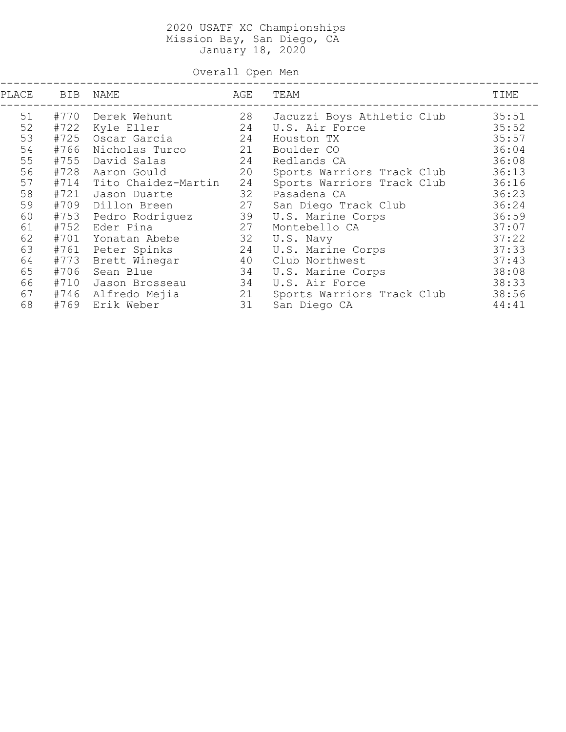Overall Open Men

| PLACE | <b>BIB</b> | NAME                | AGE | TEAM                       | TIME  |
|-------|------------|---------------------|-----|----------------------------|-------|
| 51    | #770       | Derek Wehunt        | 28  | Jacuzzi Boys Athletic Club | 35:51 |
| 52    | #722       | Kyle Eller          | 24  | U.S. Air Force             | 35:52 |
| 53    | #725       | Oscar Garcia        | 24  | Houston TX                 | 35:57 |
| 54    | #766       | Nicholas Turco      | 21  | Boulder CO                 | 36:04 |
| 55    | #755       | David Salas         | 24  | Redlands CA                | 36:08 |
| 56    | #728       | Aaron Gould         | 20  | Sports Warriors Track Club | 36:13 |
| 57    | #714       | Tito Chaidez-Martin | 24  | Sports Warriors Track Club | 36:16 |
| 58    | #721       | Jason Duarte        | 32  | Pasadena CA                | 36:23 |
| 59    | #709       | Dillon Breen        | 27  | San Diego Track Club       | 36:24 |
| 60    | #753       | Pedro Rodriguez     | 39  | U.S. Marine Corps          | 36:59 |
| 61    | #752       | Eder Pina           | 27  | Montebello CA              | 37:07 |
| 62    | #701       | Yonatan Abebe       | 32  | U.S. Navy                  | 37:22 |
| 63    | #761       | Peter Spinks        | 24  | U.S. Marine Corps          | 37:33 |
| 64    | #773       | Brett Winegar       | 40  | Club Northwest             | 37:43 |
| 65    | #706       | Sean Blue           | 34  | U.S. Marine Corps          | 38:08 |
| 66    | #710       | Jason Brosseau      | 34  | U.S. Air Force             | 38:33 |
| 67    |            | #746 Alfredo Mejia  | 21  | Sports Warriors Track Club | 38:56 |
| 68    | #769       | Erik Weber          | 31  | San Diego CA               | 44:41 |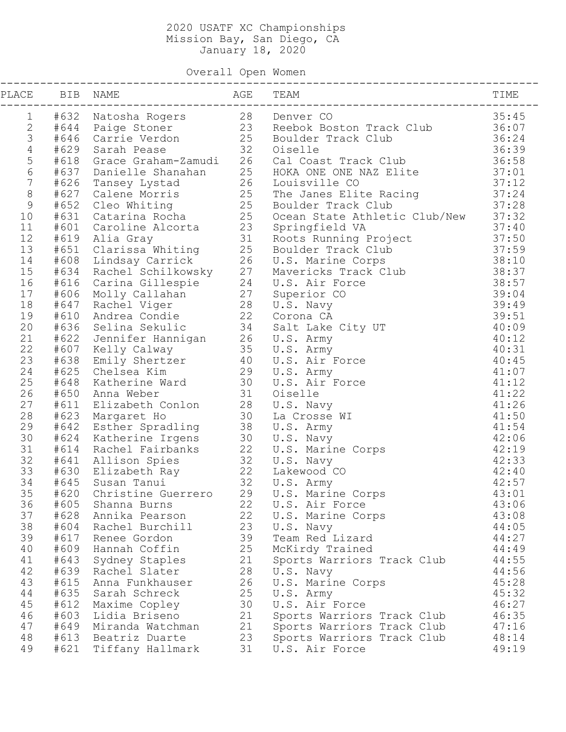Overall Open Women

|                |              | PLACE BIB NAME<br>------------                  | AGE<br>------------ | TEAM                                                                                                                                                                                                                                      | TIME           |
|----------------|--------------|-------------------------------------------------|---------------------|-------------------------------------------------------------------------------------------------------------------------------------------------------------------------------------------------------------------------------------------|----------------|
| 1              |              |                                                 |                     | #632 Natosha Rogers          28   Denver CO<br>#644  Paige Stoner        23   Reebok Boston Track Club<br>#646  Carrie Verdon        25   Boulder Track Club<br>#629  Sarah Pease            32   Oiselle                                 | 35:45          |
| $\mathbf{2}$   |              |                                                 |                     |                                                                                                                                                                                                                                           | 36:07          |
| $\mathfrak{Z}$ |              |                                                 |                     |                                                                                                                                                                                                                                           | 36:24          |
| $\overline{4}$ |              |                                                 |                     |                                                                                                                                                                                                                                           | 36:39          |
| $\mathsf S$    |              |                                                 |                     | #618 Grace Graham-Zamudi 26 Cal Coast Track Club                                                                                                                                                                                          | 36:58          |
| $\sqrt{6}$     |              |                                                 |                     |                                                                                                                                                                                                                                           | 37:01          |
| $\sqrt{ }$     |              |                                                 |                     |                                                                                                                                                                                                                                           | 37:12          |
| $\,8\,$        |              |                                                 |                     | The Janes Elite Racing<br>Boulder Track Club                                                                                                                                                                                              | 37:24          |
| $\mathcal{G}$  |              |                                                 |                     |                                                                                                                                                                                                                                           | 37:28          |
| 10             |              |                                                 |                     | Ocean State Athletic Club/New<br>Springfield VA                                                                                                                                                                                           | 37:32          |
| 11             |              |                                                 |                     |                                                                                                                                                                                                                                           | 37:40          |
| 12             |              |                                                 |                     |                                                                                                                                                                                                                                           | 37:50          |
| 13             |              |                                                 |                     |                                                                                                                                                                                                                                           | 37:59          |
| 14             |              |                                                 |                     |                                                                                                                                                                                                                                           | 38:10          |
| 15             |              |                                                 |                     |                                                                                                                                                                                                                                           | 38:37          |
| 16             |              |                                                 |                     |                                                                                                                                                                                                                                           | 38:57          |
| 17             |              |                                                 |                     |                                                                                                                                                                                                                                           | 39:04          |
| 18             |              |                                                 |                     |                                                                                                                                                                                                                                           | 39:49          |
| 19             |              |                                                 |                     |                                                                                                                                                                                                                                           | 39:51          |
| 20             |              |                                                 |                     |                                                                                                                                                                                                                                           | 40:09          |
| 21             |              |                                                 |                     |                                                                                                                                                                                                                                           | 40:12          |
| 22             |              |                                                 |                     |                                                                                                                                                                                                                                           | 40:31          |
| 23             |              |                                                 |                     |                                                                                                                                                                                                                                           | 40:45          |
| 24             |              |                                                 |                     | #629 Sadam Pease<br>#618 Grace Graham-Zamudi 26 Cal Coast Track Club<br>#637 Danielle Shanahan 25 BOKA ONE ONE NAZ Elite<br>#626 Tansey Lystad 26 Louisville CO<br>#627 Calene Morris 25 Boulder Track Club<br>#651 Catarina Rocha 25 Do  | 41:07          |
| 25             |              |                                                 |                     |                                                                                                                                                                                                                                           | 41:12          |
| 26             |              |                                                 |                     |                                                                                                                                                                                                                                           | 41:22          |
| 27             |              |                                                 |                     |                                                                                                                                                                                                                                           | 41:26          |
| 28             |              | #623 Margaret Ho                                |                     | La Crosse WI                                                                                                                                                                                                                              | 41:50          |
| 29             |              |                                                 |                     |                                                                                                                                                                                                                                           | 41:54          |
| 30             |              |                                                 |                     |                                                                                                                                                                                                                                           | 42:06          |
| 31             |              |                                                 |                     | #623 Margaret Ho<br>#642 Esther Spradling 38 U.S. Army<br>#624 Katherine Irgens 30 U.S. Navy<br>#614 Rachel Fairbanks 22 U.S. Marine Corps<br>#641 Allison Spies 32 U.S. Navy<br>#630 Elizabeth Ray 22 Lakewood CO<br>#645 Susan Tanui 32 | 42:19          |
| 32             |              |                                                 |                     |                                                                                                                                                                                                                                           | 42:33          |
| 33             |              |                                                 |                     |                                                                                                                                                                                                                                           | 42:40          |
| 34             |              |                                                 |                     |                                                                                                                                                                                                                                           | 42:57          |
|                |              | 35 #620 Christine Guerrero 29 U.S. Marine Corps |                     |                                                                                                                                                                                                                                           | 43:01          |
| 36             | #605         | Shanna Burns                                    | 22                  | U.S. Air Force                                                                                                                                                                                                                            | 43:06          |
| 37             |              | #628 Annika Pearson                             | 22                  | U.S. Marine Corps                                                                                                                                                                                                                         | 43:08          |
| 38             |              | #604 Rachel Burchill                            | 23                  | U.S. Navy                                                                                                                                                                                                                                 | 44:05          |
| 39             | #617         | Renee Gordon                                    | 39                  | Team Red Lizard                                                                                                                                                                                                                           | 44:27          |
| 40             |              | #609 Hannah Coffin                              | 25                  | McKirdy Trained                                                                                                                                                                                                                           | 44:49          |
| 41             |              | #643 Sydney Staples                             | 21                  | Sports Warriors Track Club                                                                                                                                                                                                                | 44:55          |
| 42             |              | #639 Rachel Slater                              | 28                  | U.S. Navy                                                                                                                                                                                                                                 | 44:56          |
| 43             | #615         | Anna Funkhauser                                 | 26                  | U.S. Marine Corps                                                                                                                                                                                                                         | 45:28          |
| 44             | #635         | Sarah Schreck                                   | 25                  | U.S. Army                                                                                                                                                                                                                                 | 45:32          |
| 45             | #612         | Maxime Copley                                   | 30                  | U.S. Air Force                                                                                                                                                                                                                            | 46:27          |
| 46             | #603         | Lidia Briseno                                   | 21                  | Sports Warriors Track Club                                                                                                                                                                                                                | 46:35          |
| 47             |              | #649 Miranda Watchman                           | 21                  | Sports Warriors Track Club                                                                                                                                                                                                                | 47:16          |
| 48<br>49       | #613<br>#621 | Beatriz Duarte<br>Tiffany Hallmark              | 23<br>31            | Sports Warriors Track Club<br>U.S. Air Force                                                                                                                                                                                              | 48:14<br>49:19 |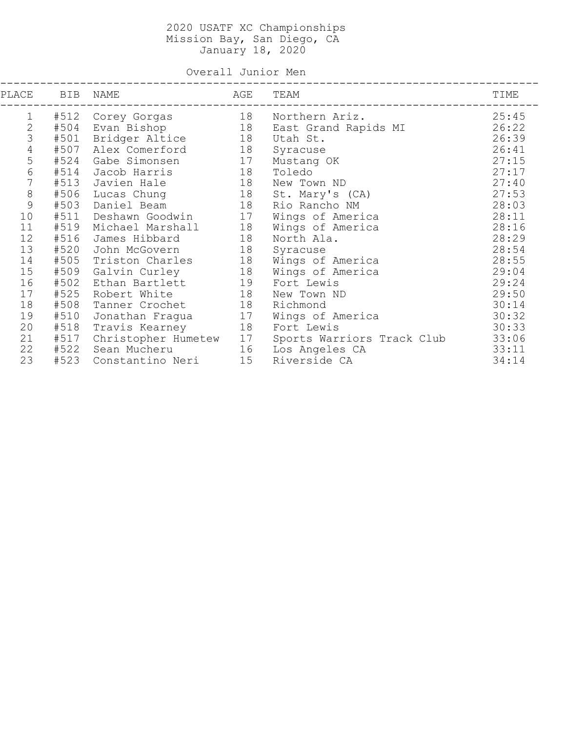Overall Junior Men

| PLACE        | BIB  | NAME                | AGE | TEAM                       | TIME  |
|--------------|------|---------------------|-----|----------------------------|-------|
| 1            | #512 | Corey Gorgas        | 18  | Northern Ariz.             | 25:45 |
| $\mathbf{2}$ | #504 | Evan Bishop         | 18  | East Grand Rapids MI       | 26:22 |
| 3            | #501 | Bridger Altice      | 18  | Utah St.                   | 26:39 |
| $\sqrt{4}$   | #507 | Alex Comerford      | 18  | Syracuse                   | 26:41 |
| 5            | #524 | Gabe Simonsen       | 17  | Mustang OK                 | 27:15 |
| 6            | #514 | Jacob Harris        | 18  | Toledo                     | 27:17 |
| 7            | #513 | Javien Hale         | 18  | New Town ND                | 27:40 |
| 8            | #506 | Lucas Chung         | 18  | St. Mary's (CA)            | 27:53 |
| 9            | #503 | Daniel Beam         | 18  | Rio Rancho NM              | 28:03 |
| 10           | #511 | Deshawn Goodwin     | 17  | Wings of America           | 28:11 |
| 11           | #519 | Michael Marshall    | 18  | Wings of America           | 28:16 |
| 12           | #516 | James Hibbard       | 18  | North Ala.                 | 28:29 |
| 13           | #520 | John McGovern       | 18  | Syracuse                   | 28:54 |
| 14           | #505 | Triston Charles     | 18  | Wings of America           | 28:55 |
| 15           | #509 | Galvin Curley       | 18  | Wings of America           | 29:04 |
| 16           | #502 | Ethan Bartlett      | 19  | Fort Lewis                 | 29:24 |
| 17           | #525 | Robert White        | 18  | New Town ND                | 29:50 |
| 18           | #508 | Tanner Crochet      | 18  | Richmond                   | 30:14 |
| 19           | #510 | Jonathan Fragua     | 17  | Wings of America           | 30:32 |
| 20           | #518 | Travis Kearney      | 18  | Fort Lewis                 | 30:33 |
| 21           | #517 | Christopher Humetew | 17  | Sports Warriors Track Club | 33:06 |
| 22           | #522 | Sean Mucheru        | 16  | Los Angeles CA             | 33:11 |
| 23           | #523 | Constantino Neri    | 15  | Riverside CA               | 34:14 |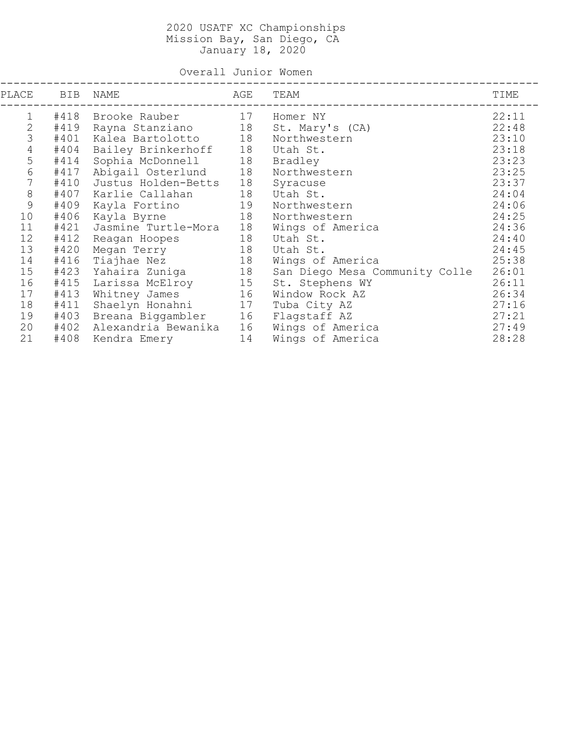Overall Junior Women

| PLACE   | BIB  | NAME                | AGE | TEAM                           | TIME  |
|---------|------|---------------------|-----|--------------------------------|-------|
| 1       | #418 | Brooke Rauber       | 17  | Homer NY                       | 22:11 |
| 2       | #419 | Rayna Stanziano     | 18  | St. Mary's (CA)                | 22:48 |
| 3       | #401 | Kalea Bartolotto    | 18  | Northwestern                   | 23:10 |
| 4       | #404 | Bailey Brinkerhoff  | 18  | Utah St.                       | 23:18 |
| 5       | #414 | Sophia McDonnell    | 18  | Bradley                        | 23:23 |
| 6       | #417 | Abigail Osterlund   | 18  | Northwestern                   | 23:25 |
| 7       | #410 | Justus Holden-Betts | 18  | Syracuse                       | 23:37 |
| $\,8\,$ | #407 | Karlie Callahan     | 18  | Utah St.                       | 24:04 |
| 9       | #409 | Kayla Fortino       | 19  | Northwestern                   | 24:06 |
| 10      | #406 | Kayla Byrne         | 18  | Northwestern                   | 24:25 |
| 11      | #421 | Jasmine Turtle-Mora | 18  | Wings of America               | 24:36 |
| 12      | #412 | Reagan Hoopes       | 18  | Utah St.                       | 24:40 |
| 13      | #420 | Megan Terry         | 18  | Utah St.                       | 24:45 |
| 14      | #416 | Tiajhae Nez         | 18  | Wings of America               | 25:38 |
| 15      | #423 | Yahaira Zuniga      | 18  | San Diego Mesa Community Colle | 26:01 |
| 16      | #415 | Larissa McElroy     | 15  | St. Stephens WY                | 26:11 |
| 17      | #413 | Whitney James       | 16  | Window Rock AZ                 | 26:34 |
| 18      | #411 | Shaelyn Honahni     | 17  | Tuba City AZ                   | 27:16 |
| 19      | #403 | Breana Biggambler   | 16  | Flagstaff AZ                   | 27:21 |
| 20      | #402 | Alexandria Bewanika | 16  | Wings of America               | 27:49 |
| 21      | #408 | Kendra Emery        | 14  | Wings of America               | 28:28 |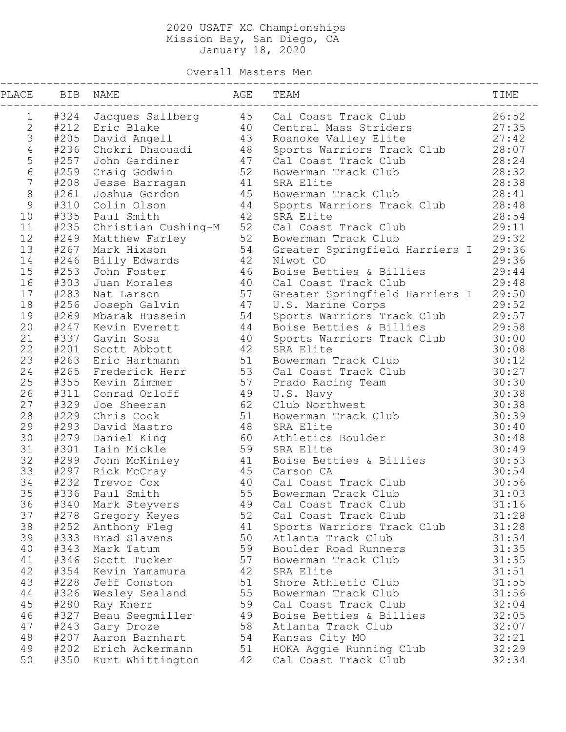Overall Masters Men

| PLACE            |      | BIB NAME                                                                                              | AGE<br>------                           | TEAM                                                  | TIME  |
|------------------|------|-------------------------------------------------------------------------------------------------------|-----------------------------------------|-------------------------------------------------------|-------|
| $\mathbf 1$      |      |                                                                                                       |                                         | #324 Jacques Sallberg 45 Cal Coast Track Club         | 26:52 |
| $\mathbf{2}$     |      |                                                                                                       | 40                                      | Central Mass Striders                                 | 27:35 |
| $\mathfrak{Z}$   |      | #212 Eric Blake 10<br>#205 David Angell 13                                                            |                                         | Roanoke Valley Elite                                  | 27:42 |
| $\overline{4}$   |      | #236 Chokri Dhaouadi                                                                                  | 48                                      | Sports Warriors Track Club                            | 28:07 |
| $\mathsf S$      | #257 | John Gardiner                                                                                         | 47                                      | Cal Coast Track Club                                  | 28:24 |
| 6                |      | #259 Craig Godwin                                                                                     | 52                                      | Bowerman Track Club                                   | 28:32 |
| $\boldsymbol{7}$ |      | #208 Jesse Barragan                                                                                   | 41                                      | SRA Elite                                             | 28:38 |
| $\,8\,$          |      | #261  Joshua Gordon                                                                                   | 45                                      | Bowerman Track Club                                   | 28:41 |
| $\mathsf 9$      |      | #310 Colin Olson                                                                                      | 44                                      | Sports Warriors Track Club                            | 28:48 |
| 10               |      | #335 Paul Smith                                                                                       | 42                                      | SRA Elite                                             | 28:54 |
| 11               |      | #235 Christian Cushing-M 52<br>#249 Matthew Farley 52<br>#267 Mark Hixson 54<br>#246 Billy Edwards 42 |                                         | Cal Coast Track Club                                  | 29:11 |
| 12               |      |                                                                                                       |                                         | Bowerman Track Club                                   | 29:32 |
| 13               |      |                                                                                                       |                                         | Greater Springfield Harriers I                        | 29:36 |
| 14               |      | #246 Billy Edwards                                                                                    | 42                                      | Niwot CO                                              | 29:36 |
| 15               |      | #253 John Foster                                                                                      | 46                                      | Boise Betties & Billies                               | 29:44 |
| 16               |      | #303 Juan Morales                                                                                     | 40                                      | Cal Coast Track Club                                  | 29:48 |
| 17               |      | #283 Nat Larson                                                                                       | 57                                      | Greater Springfield Harriers I                        | 29:50 |
| 18               |      |                                                                                                       | 47                                      | U.S. Marine Corps                                     | 29:52 |
| 19               |      | #256  Joseph Galvin               47<br>#269  Mbarak Hussein          54                              |                                         |                                                       | 29:57 |
| 20               |      | #247 Kevin Everett                                                                                    | $\begin{array}{c} 44 \\ 40 \end{array}$ | Sports Warriors Track Club<br>Boise Betties & Billies | 29:58 |
| 21               |      | #337 Gavin Sosa                                                                                       |                                         | Sports Warriors Track Club                            | 30:00 |
| 22               | #201 | Scott Abbott                                                                                          | 42                                      | SRA Elite                                             | 30:08 |
| 23               |      | #263 Eric Hartmann                                                                                    | 51                                      | Bowerman Track Club                                   | 30:12 |
| 24               | #265 | Frederick Herr                                                                                        | 53<br>57                                | Cal Coast Track Club                                  | 30:27 |
| 25               |      | #355 Kevin Zimmer                                                                                     |                                         | Prado Racing Team                                     | 30:30 |
| 26               | #311 | Conrad Orloff                                                                                         | 49                                      | U.S. Navy                                             | 30:38 |
| 27               | #329 | Joe Sheeran                                                                                           | 62                                      | Club Northwest                                        | 30:38 |
| 28               |      | #229 Chris Cook                                                                                       | 51                                      | Bowerman Track Club                                   | 30:39 |
| 29               | #293 | David Mastro                                                                                          | 48                                      | SRA Elite                                             | 30:40 |
| 30               |      | #279 Daniel King                                                                                      | 60                                      | Athletics Boulder                                     | 30:48 |
| 31               |      | #301 Iain Mickle                                                                                      | 59                                      | SRA Elite                                             | 30:49 |
| 32               |      | #299 John McKinley                                                                                    |                                         | 41 Boise Betties & Billies                            | 30:53 |
| 33               |      | #297 Rick McCray                                                                                      |                                         | 45 Carson CA                                          | 30:54 |
| 34               | #232 | Trevor Cox                                                                                            | 40                                      | Cal Coast Track Club                                  | 30:56 |
| 35               |      | #336 Paul Smith                                                                                       |                                         | 55 Bowerman Track Club                                | 31:03 |
| 36               | #340 | Mark Steyvers                                                                                         | 49                                      | Cal Coast Track Club                                  | 31:16 |
| 37               | #278 | Gregory Keyes                                                                                         | 52                                      | Cal Coast Track Club                                  | 31:28 |
| 38               |      | #252 Anthony Fleg                                                                                     | 41                                      | Sports Warriors Track Club                            | 31:28 |
| 39               | #333 | Brad Slavens                                                                                          | 50                                      | Atlanta Track Club                                    | 31:34 |
| 40               | #343 | Mark Tatum                                                                                            | 59                                      | Boulder Road Runners                                  | 31:35 |
| 41               | #346 | Scott Tucker                                                                                          | 57                                      | Bowerman Track Club                                   | 31:35 |
| 42               | #354 | Kevin Yamamura                                                                                        | 42                                      | SRA Elite                                             | 31:51 |
| 43               | #228 | Jeff Conston                                                                                          | 51                                      | Shore Athletic Club                                   | 31:55 |
| 44               | #326 | Wesley Sealand                                                                                        | 55                                      | Bowerman Track Club                                   | 31:56 |
| 45               | #280 | Ray Knerr                                                                                             | 59                                      | Cal Coast Track Club                                  | 32:04 |
| 46               | #327 | Beau Seegmiller                                                                                       | 49                                      | Boise Betties & Billies                               | 32:05 |
| 47               | #243 | Gary Droze                                                                                            | 58                                      | Atlanta Track Club                                    | 32:07 |
| 48               | #207 | Aaron Barnhart                                                                                        | 54                                      | Kansas City MO                                        | 32:21 |
| 49               | #202 | Erich Ackermann                                                                                       | 51                                      | HOKA Aggie Running Club                               | 32:29 |
| 50               | #350 | Kurt Whittington                                                                                      | 42                                      | Cal Coast Track Club                                  | 32:34 |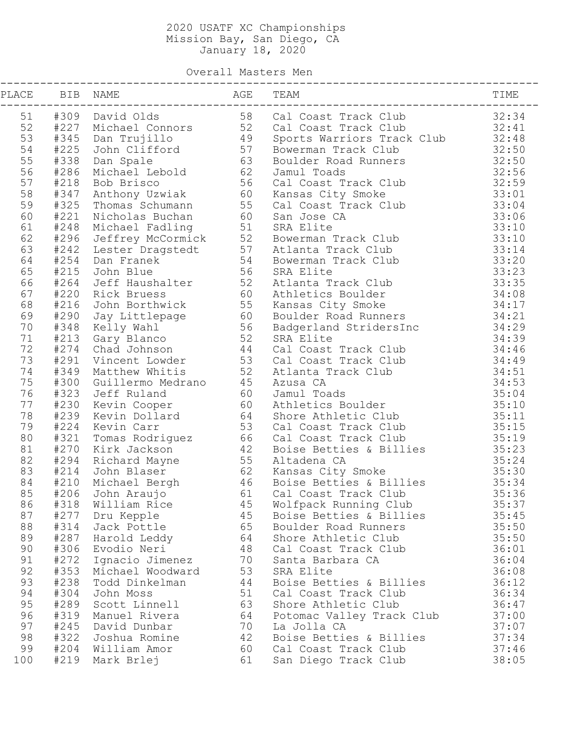Overall Masters Men

| PLACE |      | BIB NAME                                                                                                             | AGE<br>------------- | TEAM                                                                                                                                                                                                                                                                       | TIME  |
|-------|------|----------------------------------------------------------------------------------------------------------------------|----------------------|----------------------------------------------------------------------------------------------------------------------------------------------------------------------------------------------------------------------------------------------------------------------------|-------|
|       |      | 51 #309 David Olds                                                                                                   |                      | Cal Coast Track Club                                                                                                                                                                                                                                                       | 32:34 |
| 52    |      |                                                                                                                      |                      |                                                                                                                                                                                                                                                                            | 32:41 |
| 53    |      |                                                                                                                      |                      | Cal Coast Track Club<br>Cal Coast Track Club<br>Sports Warriors Track Club<br>Bowerman Track Club                                                                                                                                                                          | 32:48 |
| 54    |      |                                                                                                                      |                      |                                                                                                                                                                                                                                                                            | 32:50 |
| 55    |      |                                                                                                                      |                      | Boulder Road Runners<br>4238 Dan Spale<br>4238 Michael Lebold<br>4218 Bob Brisco<br>4218 Bob Brisco<br>4347 Anthony Uzwiak<br>4325 Thomas Schumann<br>4221 Nicholas Buchan<br>4221 Nicholas Buchan<br>4248 Michael Fadling<br>4248 Michael Fadling<br>4248 Jeffrey McCormi | 32:50 |
| 56    |      |                                                                                                                      |                      |                                                                                                                                                                                                                                                                            | 32:56 |
| 57    |      |                                                                                                                      |                      | Cal Coast Track Club                                                                                                                                                                                                                                                       | 32:59 |
| 58    |      |                                                                                                                      |                      |                                                                                                                                                                                                                                                                            | 33:01 |
| 59    |      |                                                                                                                      |                      | Cal Coast Track Club                                                                                                                                                                                                                                                       | 33:04 |
| 60    |      |                                                                                                                      |                      |                                                                                                                                                                                                                                                                            | 33:06 |
| 61    |      |                                                                                                                      |                      |                                                                                                                                                                                                                                                                            | 33:10 |
| 62    |      |                                                                                                                      |                      |                                                                                                                                                                                                                                                                            | 33:10 |
| 63    |      |                                                                                                                      |                      |                                                                                                                                                                                                                                                                            | 33:14 |
| 64    |      |                                                                                                                      |                      |                                                                                                                                                                                                                                                                            | 33:20 |
| 65    |      |                                                                                                                      |                      |                                                                                                                                                                                                                                                                            | 33:23 |
| 66    |      | #215 Jonn Blue<br>#264 Jeff Haushalter 52<br>#220 Rick Bruess 60                                                     |                      | Atlanta Track Club                                                                                                                                                                                                                                                         | 33:35 |
| 67    |      |                                                                                                                      |                      | Athletics Boulder                                                                                                                                                                                                                                                          | 34:08 |
| 68    |      | #220 Rick Bruess ou<br>#216 John Borthwick 55<br>#290 Jay Littlepage 60<br>#348 Kelly Wahl 56<br>#213 Gary Blanco 52 |                      | Kansas City Smoke                                                                                                                                                                                                                                                          | 34:17 |
| 69    |      |                                                                                                                      |                      | Boulder Road Runners                                                                                                                                                                                                                                                       | 34:21 |
| 70    |      |                                                                                                                      |                      | Badgerland StridersInc                                                                                                                                                                                                                                                     | 34:29 |
| 71    |      | #213 Gary Blanco<br>#274 Chad Johnson 44<br>#291 Vincent Lowder 53<br>#291 Vincent Lowder 53                         |                      | SRA Elite                                                                                                                                                                                                                                                                  | 34:39 |
| 72    |      |                                                                                                                      |                      | Cal Coast Track Club                                                                                                                                                                                                                                                       | 34:46 |
| 73    |      |                                                                                                                      |                      | Cal Coast Track Club                                                                                                                                                                                                                                                       | 34:49 |
| 74    |      |                                                                                                                      |                      | Atlanta Track Club                                                                                                                                                                                                                                                         | 34:51 |
| 75    |      | #300 Guillermo Medrano 45                                                                                            |                      | Azusa CA                                                                                                                                                                                                                                                                   | 34:53 |
| 76    | #323 | Jeff Ruland                                                                                                          | 60                   | Jamul Toads                                                                                                                                                                                                                                                                | 35:04 |
| 77    |      | #230 Kevin Cooper                                                                                                    | 60                   | Athletics Boulder                                                                                                                                                                                                                                                          | 35:10 |
| 78    |      | #239 Kevin Dollard                                                                                                   | 64                   | Shore Athletic Club                                                                                                                                                                                                                                                        | 35:11 |
| 79    |      | #224 Kevin Carr                                                                                                      | 53                   | Cal Coast Track Club                                                                                                                                                                                                                                                       | 35:15 |
| 80    |      |                                                                                                                      |                      | #321 Tomas Rodriguez<br>#270 Kirk Jackson 42 Boise Betties & Billies<br>#294 Richard Mayne 55 Altadena CA<br>#214 John Blaser 62 Kansas City Smoke<br>#210 Michael Bergh 46 Boise Betties & Billies<br>#206 John Araujo 61 Cal Coast Track Cl                              | 35:19 |
| 81    |      |                                                                                                                      |                      | Boise Betties & Billies                                                                                                                                                                                                                                                    | 35:23 |
| 82    |      |                                                                                                                      |                      |                                                                                                                                                                                                                                                                            | 35:24 |
| 83    |      |                                                                                                                      |                      |                                                                                                                                                                                                                                                                            | 35:30 |
| 84    |      |                                                                                                                      |                      |                                                                                                                                                                                                                                                                            | 35:34 |
| 85    |      |                                                                                                                      |                      | #206 John Araujo 61 Cal Coast Track Club                                                                                                                                                                                                                                   | 35:36 |
| 86    | #318 | William Rice                                                                                                         | 45                   | Wolfpack Running Club                                                                                                                                                                                                                                                      | 35:37 |
| 87    | #277 | Dru Kepple                                                                                                           | 45                   | Boise Betties & Billies                                                                                                                                                                                                                                                    | 35:45 |
| 88    | #314 | Jack Pottle                                                                                                          | 65                   | Boulder Road Runners                                                                                                                                                                                                                                                       | 35:50 |
| 89    | #287 | Harold Leddy                                                                                                         | 64                   | Shore Athletic Club                                                                                                                                                                                                                                                        | 35:50 |
| 90    | #306 | Evodio Neri                                                                                                          | 48                   | Cal Coast Track Club                                                                                                                                                                                                                                                       | 36:01 |
| 91    | #272 | Ignacio Jimenez                                                                                                      | 70                   | Santa Barbara CA                                                                                                                                                                                                                                                           | 36:04 |
| 92    | #353 | Michael Woodward                                                                                                     | 53                   | SRA Elite                                                                                                                                                                                                                                                                  | 36:08 |
| 93    | #238 | Todd Dinkelman                                                                                                       | 44                   | Boise Betties & Billies                                                                                                                                                                                                                                                    | 36:12 |
| 94    | #304 | John Moss                                                                                                            | 51                   | Cal Coast Track Club                                                                                                                                                                                                                                                       | 36:34 |
| 95    | #289 | Scott Linnell                                                                                                        | 63                   | Shore Athletic Club                                                                                                                                                                                                                                                        | 36:47 |
| 96    | #319 | Manuel Rivera                                                                                                        | 64                   | Potomac Valley Track Club                                                                                                                                                                                                                                                  | 37:00 |
| 97    | #245 | David Dunbar                                                                                                         | 70                   | La Jolla CA                                                                                                                                                                                                                                                                | 37:07 |
| 98    | #322 | Joshua Romine                                                                                                        | 42                   | Boise Betties & Billies                                                                                                                                                                                                                                                    | 37:34 |
| 99    | #204 | William Amor                                                                                                         | 60                   | Cal Coast Track Club                                                                                                                                                                                                                                                       | 37:46 |
| 100   | #219 | Mark Brlej                                                                                                           | 61                   | San Diego Track Club                                                                                                                                                                                                                                                       | 38:05 |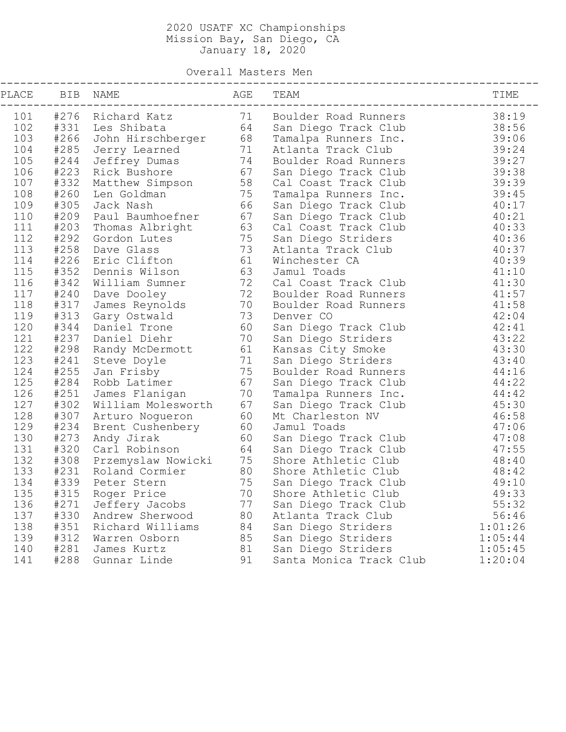Overall Masters Men

| AGE<br>PLACE<br>BIB NAME<br>TEAM<br>TIME<br>71 Boulder Road Runners<br>38:19<br>101 #276 Richard Katz<br>64<br>102<br>#331 Les Shibata<br>38:56<br>San Diego Track Club<br>#266 John Hirschberger 68<br>103<br>39:06<br>Tamalpa Runners Inc.<br>#285<br>71<br>39:24<br>104<br>Atlanta Track Club<br>Jerry Learned<br>105<br>#244<br>74<br>39:27<br>Jeffrey Dumas<br>Boulder Road Runners<br>106<br>#223 Rick Bushore<br>67<br>39:38<br>San Diego Track Club<br>107<br>#332<br>58<br>39:39<br>Matthew Simpson<br>Cal Coast Track Club<br>108<br>#260<br>75<br>39:45<br>Len Goldman<br>Tamalpa Runners Inc.<br>109<br>#305<br>66<br>40:17<br>Jack Nash<br>San Diego Track Club<br>#209 Paul Baumhoefner<br>67<br>110<br>40:21<br>San Diego Track Club<br>111<br>#203<br>63<br>40:33<br>Thomas Albright<br>Cal Coast Track Club<br>112<br>#292<br>75<br>40:36<br>Gordon Lutes<br>San Diego Striders<br>113<br>#258<br>73<br>40:37<br>Dave Glass<br>Atlanta Track Club<br>#226<br>61<br>114<br>40:39<br>Eric Clifton<br>Winchester CA<br>115<br>#352<br>63<br>41:10<br>Dennis Wilson<br>Jamul Toads<br>72<br>116<br>#342<br>41:30<br>William Sumner<br>Cal Coast Track Club<br>72<br>#240<br>117<br>41:57<br>Dave Dooley<br>Boulder Road Runners<br>118<br>#317<br>70<br>41:58<br>James Reynolds<br>Boulder Road Runners<br>#313<br>73<br>119<br>42:04<br>Gary Ostwald<br>Denver CO<br>120<br>#344<br>60<br>42:41<br>Daniel Trone<br>San Diego Track Club<br>121<br>#237<br>70<br>43:22<br>Daniel Diehr<br>San Diego Striders<br>122<br>#298<br>43:30<br>61<br>Kansas City Smoke<br>Randy McDermott<br>71<br>123<br>#241<br>43:40<br>Steve Doyle<br>San Diego Striders<br>124<br>#255<br>75<br>44:16<br>Jan Frisby<br>Boulder Road Runners<br>125<br>#284<br>67<br>44:22<br>Robb Latimer<br>San Diego Track Club<br>126<br>#251<br>70<br>44:42<br>James Flanigan<br>Tamalpa Runners Inc.<br>127<br>#302<br>67<br>45:30<br>San Diego Track Club<br>William Molesworth<br>128<br>#307<br>60<br>46:58<br>Arturo Nogueron<br>Mt Charleston NV<br>129<br>#234<br>60<br>47:06<br>Jamul Toads<br>Brent Cushenbery<br>130<br>#273 Andy Jirak<br>60<br>47:08<br>San Diego Track Club<br>131<br>#320 Carl Robinson<br>64<br>47:55<br>San Diego Track Club<br>% = 2008<br>#308 Przemyslaw Nowicki = 75<br>#231 Roland Cormier = 80<br>#339 Peter Stern = 75<br>132<br>48:40<br>Shore Athletic Club<br>80<br>133<br>#231 Roland Cormier<br>48:42<br>Shore Athletic Club<br>134<br>49:10<br>San Diego Track Club<br>135<br>#315 Roger Price<br>70<br>Shore Athletic Club<br>49:33<br>136<br>#271<br>77<br>55:32<br>Jeffery Jacobs<br>San Diego Track Club<br>137<br>#330<br>80<br>Atlanta Track Club<br>56:46<br>Andrew Sherwood<br>138<br>#351<br>84<br>1:01:26<br>Richard Williams<br>San Diego Striders<br>139<br>85<br>#312<br>1:05:44<br>San Diego Striders<br>Warren Osborn<br>#281<br>140<br>81<br>1:05:45<br>James Kurtz<br>San Diego Striders<br>#288<br>141<br>91<br>Santa Monica Track Club<br>1:20:04<br>Gunnar Linde |  |  |  |
|------------------------------------------------------------------------------------------------------------------------------------------------------------------------------------------------------------------------------------------------------------------------------------------------------------------------------------------------------------------------------------------------------------------------------------------------------------------------------------------------------------------------------------------------------------------------------------------------------------------------------------------------------------------------------------------------------------------------------------------------------------------------------------------------------------------------------------------------------------------------------------------------------------------------------------------------------------------------------------------------------------------------------------------------------------------------------------------------------------------------------------------------------------------------------------------------------------------------------------------------------------------------------------------------------------------------------------------------------------------------------------------------------------------------------------------------------------------------------------------------------------------------------------------------------------------------------------------------------------------------------------------------------------------------------------------------------------------------------------------------------------------------------------------------------------------------------------------------------------------------------------------------------------------------------------------------------------------------------------------------------------------------------------------------------------------------------------------------------------------------------------------------------------------------------------------------------------------------------------------------------------------------------------------------------------------------------------------------------------------------------------------------------------------------------------------------------------------------------------------------------------------------------------------------------------------------------------------------------------------------------------------------------------------------------------------------------------------------------------------------------------------------------------------------------------------------------------------------------------------------------------------------------------------------------------------------------------------------------------------------------------------|--|--|--|
|                                                                                                                                                                                                                                                                                                                                                                                                                                                                                                                                                                                                                                                                                                                                                                                                                                                                                                                                                                                                                                                                                                                                                                                                                                                                                                                                                                                                                                                                                                                                                                                                                                                                                                                                                                                                                                                                                                                                                                                                                                                                                                                                                                                                                                                                                                                                                                                                                                                                                                                                                                                                                                                                                                                                                                                                                                                                                                                                                                                                                  |  |  |  |
|                                                                                                                                                                                                                                                                                                                                                                                                                                                                                                                                                                                                                                                                                                                                                                                                                                                                                                                                                                                                                                                                                                                                                                                                                                                                                                                                                                                                                                                                                                                                                                                                                                                                                                                                                                                                                                                                                                                                                                                                                                                                                                                                                                                                                                                                                                                                                                                                                                                                                                                                                                                                                                                                                                                                                                                                                                                                                                                                                                                                                  |  |  |  |
|                                                                                                                                                                                                                                                                                                                                                                                                                                                                                                                                                                                                                                                                                                                                                                                                                                                                                                                                                                                                                                                                                                                                                                                                                                                                                                                                                                                                                                                                                                                                                                                                                                                                                                                                                                                                                                                                                                                                                                                                                                                                                                                                                                                                                                                                                                                                                                                                                                                                                                                                                                                                                                                                                                                                                                                                                                                                                                                                                                                                                  |  |  |  |
|                                                                                                                                                                                                                                                                                                                                                                                                                                                                                                                                                                                                                                                                                                                                                                                                                                                                                                                                                                                                                                                                                                                                                                                                                                                                                                                                                                                                                                                                                                                                                                                                                                                                                                                                                                                                                                                                                                                                                                                                                                                                                                                                                                                                                                                                                                                                                                                                                                                                                                                                                                                                                                                                                                                                                                                                                                                                                                                                                                                                                  |  |  |  |
|                                                                                                                                                                                                                                                                                                                                                                                                                                                                                                                                                                                                                                                                                                                                                                                                                                                                                                                                                                                                                                                                                                                                                                                                                                                                                                                                                                                                                                                                                                                                                                                                                                                                                                                                                                                                                                                                                                                                                                                                                                                                                                                                                                                                                                                                                                                                                                                                                                                                                                                                                                                                                                                                                                                                                                                                                                                                                                                                                                                                                  |  |  |  |
|                                                                                                                                                                                                                                                                                                                                                                                                                                                                                                                                                                                                                                                                                                                                                                                                                                                                                                                                                                                                                                                                                                                                                                                                                                                                                                                                                                                                                                                                                                                                                                                                                                                                                                                                                                                                                                                                                                                                                                                                                                                                                                                                                                                                                                                                                                                                                                                                                                                                                                                                                                                                                                                                                                                                                                                                                                                                                                                                                                                                                  |  |  |  |
|                                                                                                                                                                                                                                                                                                                                                                                                                                                                                                                                                                                                                                                                                                                                                                                                                                                                                                                                                                                                                                                                                                                                                                                                                                                                                                                                                                                                                                                                                                                                                                                                                                                                                                                                                                                                                                                                                                                                                                                                                                                                                                                                                                                                                                                                                                                                                                                                                                                                                                                                                                                                                                                                                                                                                                                                                                                                                                                                                                                                                  |  |  |  |
|                                                                                                                                                                                                                                                                                                                                                                                                                                                                                                                                                                                                                                                                                                                                                                                                                                                                                                                                                                                                                                                                                                                                                                                                                                                                                                                                                                                                                                                                                                                                                                                                                                                                                                                                                                                                                                                                                                                                                                                                                                                                                                                                                                                                                                                                                                                                                                                                                                                                                                                                                                                                                                                                                                                                                                                                                                                                                                                                                                                                                  |  |  |  |
|                                                                                                                                                                                                                                                                                                                                                                                                                                                                                                                                                                                                                                                                                                                                                                                                                                                                                                                                                                                                                                                                                                                                                                                                                                                                                                                                                                                                                                                                                                                                                                                                                                                                                                                                                                                                                                                                                                                                                                                                                                                                                                                                                                                                                                                                                                                                                                                                                                                                                                                                                                                                                                                                                                                                                                                                                                                                                                                                                                                                                  |  |  |  |
|                                                                                                                                                                                                                                                                                                                                                                                                                                                                                                                                                                                                                                                                                                                                                                                                                                                                                                                                                                                                                                                                                                                                                                                                                                                                                                                                                                                                                                                                                                                                                                                                                                                                                                                                                                                                                                                                                                                                                                                                                                                                                                                                                                                                                                                                                                                                                                                                                                                                                                                                                                                                                                                                                                                                                                                                                                                                                                                                                                                                                  |  |  |  |
|                                                                                                                                                                                                                                                                                                                                                                                                                                                                                                                                                                                                                                                                                                                                                                                                                                                                                                                                                                                                                                                                                                                                                                                                                                                                                                                                                                                                                                                                                                                                                                                                                                                                                                                                                                                                                                                                                                                                                                                                                                                                                                                                                                                                                                                                                                                                                                                                                                                                                                                                                                                                                                                                                                                                                                                                                                                                                                                                                                                                                  |  |  |  |
|                                                                                                                                                                                                                                                                                                                                                                                                                                                                                                                                                                                                                                                                                                                                                                                                                                                                                                                                                                                                                                                                                                                                                                                                                                                                                                                                                                                                                                                                                                                                                                                                                                                                                                                                                                                                                                                                                                                                                                                                                                                                                                                                                                                                                                                                                                                                                                                                                                                                                                                                                                                                                                                                                                                                                                                                                                                                                                                                                                                                                  |  |  |  |
|                                                                                                                                                                                                                                                                                                                                                                                                                                                                                                                                                                                                                                                                                                                                                                                                                                                                                                                                                                                                                                                                                                                                                                                                                                                                                                                                                                                                                                                                                                                                                                                                                                                                                                                                                                                                                                                                                                                                                                                                                                                                                                                                                                                                                                                                                                                                                                                                                                                                                                                                                                                                                                                                                                                                                                                                                                                                                                                                                                                                                  |  |  |  |
|                                                                                                                                                                                                                                                                                                                                                                                                                                                                                                                                                                                                                                                                                                                                                                                                                                                                                                                                                                                                                                                                                                                                                                                                                                                                                                                                                                                                                                                                                                                                                                                                                                                                                                                                                                                                                                                                                                                                                                                                                                                                                                                                                                                                                                                                                                                                                                                                                                                                                                                                                                                                                                                                                                                                                                                                                                                                                                                                                                                                                  |  |  |  |
|                                                                                                                                                                                                                                                                                                                                                                                                                                                                                                                                                                                                                                                                                                                                                                                                                                                                                                                                                                                                                                                                                                                                                                                                                                                                                                                                                                                                                                                                                                                                                                                                                                                                                                                                                                                                                                                                                                                                                                                                                                                                                                                                                                                                                                                                                                                                                                                                                                                                                                                                                                                                                                                                                                                                                                                                                                                                                                                                                                                                                  |  |  |  |
|                                                                                                                                                                                                                                                                                                                                                                                                                                                                                                                                                                                                                                                                                                                                                                                                                                                                                                                                                                                                                                                                                                                                                                                                                                                                                                                                                                                                                                                                                                                                                                                                                                                                                                                                                                                                                                                                                                                                                                                                                                                                                                                                                                                                                                                                                                                                                                                                                                                                                                                                                                                                                                                                                                                                                                                                                                                                                                                                                                                                                  |  |  |  |
|                                                                                                                                                                                                                                                                                                                                                                                                                                                                                                                                                                                                                                                                                                                                                                                                                                                                                                                                                                                                                                                                                                                                                                                                                                                                                                                                                                                                                                                                                                                                                                                                                                                                                                                                                                                                                                                                                                                                                                                                                                                                                                                                                                                                                                                                                                                                                                                                                                                                                                                                                                                                                                                                                                                                                                                                                                                                                                                                                                                                                  |  |  |  |
|                                                                                                                                                                                                                                                                                                                                                                                                                                                                                                                                                                                                                                                                                                                                                                                                                                                                                                                                                                                                                                                                                                                                                                                                                                                                                                                                                                                                                                                                                                                                                                                                                                                                                                                                                                                                                                                                                                                                                                                                                                                                                                                                                                                                                                                                                                                                                                                                                                                                                                                                                                                                                                                                                                                                                                                                                                                                                                                                                                                                                  |  |  |  |
|                                                                                                                                                                                                                                                                                                                                                                                                                                                                                                                                                                                                                                                                                                                                                                                                                                                                                                                                                                                                                                                                                                                                                                                                                                                                                                                                                                                                                                                                                                                                                                                                                                                                                                                                                                                                                                                                                                                                                                                                                                                                                                                                                                                                                                                                                                                                                                                                                                                                                                                                                                                                                                                                                                                                                                                                                                                                                                                                                                                                                  |  |  |  |
|                                                                                                                                                                                                                                                                                                                                                                                                                                                                                                                                                                                                                                                                                                                                                                                                                                                                                                                                                                                                                                                                                                                                                                                                                                                                                                                                                                                                                                                                                                                                                                                                                                                                                                                                                                                                                                                                                                                                                                                                                                                                                                                                                                                                                                                                                                                                                                                                                                                                                                                                                                                                                                                                                                                                                                                                                                                                                                                                                                                                                  |  |  |  |
|                                                                                                                                                                                                                                                                                                                                                                                                                                                                                                                                                                                                                                                                                                                                                                                                                                                                                                                                                                                                                                                                                                                                                                                                                                                                                                                                                                                                                                                                                                                                                                                                                                                                                                                                                                                                                                                                                                                                                                                                                                                                                                                                                                                                                                                                                                                                                                                                                                                                                                                                                                                                                                                                                                                                                                                                                                                                                                                                                                                                                  |  |  |  |
|                                                                                                                                                                                                                                                                                                                                                                                                                                                                                                                                                                                                                                                                                                                                                                                                                                                                                                                                                                                                                                                                                                                                                                                                                                                                                                                                                                                                                                                                                                                                                                                                                                                                                                                                                                                                                                                                                                                                                                                                                                                                                                                                                                                                                                                                                                                                                                                                                                                                                                                                                                                                                                                                                                                                                                                                                                                                                                                                                                                                                  |  |  |  |
|                                                                                                                                                                                                                                                                                                                                                                                                                                                                                                                                                                                                                                                                                                                                                                                                                                                                                                                                                                                                                                                                                                                                                                                                                                                                                                                                                                                                                                                                                                                                                                                                                                                                                                                                                                                                                                                                                                                                                                                                                                                                                                                                                                                                                                                                                                                                                                                                                                                                                                                                                                                                                                                                                                                                                                                                                                                                                                                                                                                                                  |  |  |  |
|                                                                                                                                                                                                                                                                                                                                                                                                                                                                                                                                                                                                                                                                                                                                                                                                                                                                                                                                                                                                                                                                                                                                                                                                                                                                                                                                                                                                                                                                                                                                                                                                                                                                                                                                                                                                                                                                                                                                                                                                                                                                                                                                                                                                                                                                                                                                                                                                                                                                                                                                                                                                                                                                                                                                                                                                                                                                                                                                                                                                                  |  |  |  |
|                                                                                                                                                                                                                                                                                                                                                                                                                                                                                                                                                                                                                                                                                                                                                                                                                                                                                                                                                                                                                                                                                                                                                                                                                                                                                                                                                                                                                                                                                                                                                                                                                                                                                                                                                                                                                                                                                                                                                                                                                                                                                                                                                                                                                                                                                                                                                                                                                                                                                                                                                                                                                                                                                                                                                                                                                                                                                                                                                                                                                  |  |  |  |
|                                                                                                                                                                                                                                                                                                                                                                                                                                                                                                                                                                                                                                                                                                                                                                                                                                                                                                                                                                                                                                                                                                                                                                                                                                                                                                                                                                                                                                                                                                                                                                                                                                                                                                                                                                                                                                                                                                                                                                                                                                                                                                                                                                                                                                                                                                                                                                                                                                                                                                                                                                                                                                                                                                                                                                                                                                                                                                                                                                                                                  |  |  |  |
|                                                                                                                                                                                                                                                                                                                                                                                                                                                                                                                                                                                                                                                                                                                                                                                                                                                                                                                                                                                                                                                                                                                                                                                                                                                                                                                                                                                                                                                                                                                                                                                                                                                                                                                                                                                                                                                                                                                                                                                                                                                                                                                                                                                                                                                                                                                                                                                                                                                                                                                                                                                                                                                                                                                                                                                                                                                                                                                                                                                                                  |  |  |  |
|                                                                                                                                                                                                                                                                                                                                                                                                                                                                                                                                                                                                                                                                                                                                                                                                                                                                                                                                                                                                                                                                                                                                                                                                                                                                                                                                                                                                                                                                                                                                                                                                                                                                                                                                                                                                                                                                                                                                                                                                                                                                                                                                                                                                                                                                                                                                                                                                                                                                                                                                                                                                                                                                                                                                                                                                                                                                                                                                                                                                                  |  |  |  |
|                                                                                                                                                                                                                                                                                                                                                                                                                                                                                                                                                                                                                                                                                                                                                                                                                                                                                                                                                                                                                                                                                                                                                                                                                                                                                                                                                                                                                                                                                                                                                                                                                                                                                                                                                                                                                                                                                                                                                                                                                                                                                                                                                                                                                                                                                                                                                                                                                                                                                                                                                                                                                                                                                                                                                                                                                                                                                                                                                                                                                  |  |  |  |
|                                                                                                                                                                                                                                                                                                                                                                                                                                                                                                                                                                                                                                                                                                                                                                                                                                                                                                                                                                                                                                                                                                                                                                                                                                                                                                                                                                                                                                                                                                                                                                                                                                                                                                                                                                                                                                                                                                                                                                                                                                                                                                                                                                                                                                                                                                                                                                                                                                                                                                                                                                                                                                                                                                                                                                                                                                                                                                                                                                                                                  |  |  |  |
|                                                                                                                                                                                                                                                                                                                                                                                                                                                                                                                                                                                                                                                                                                                                                                                                                                                                                                                                                                                                                                                                                                                                                                                                                                                                                                                                                                                                                                                                                                                                                                                                                                                                                                                                                                                                                                                                                                                                                                                                                                                                                                                                                                                                                                                                                                                                                                                                                                                                                                                                                                                                                                                                                                                                                                                                                                                                                                                                                                                                                  |  |  |  |
|                                                                                                                                                                                                                                                                                                                                                                                                                                                                                                                                                                                                                                                                                                                                                                                                                                                                                                                                                                                                                                                                                                                                                                                                                                                                                                                                                                                                                                                                                                                                                                                                                                                                                                                                                                                                                                                                                                                                                                                                                                                                                                                                                                                                                                                                                                                                                                                                                                                                                                                                                                                                                                                                                                                                                                                                                                                                                                                                                                                                                  |  |  |  |
|                                                                                                                                                                                                                                                                                                                                                                                                                                                                                                                                                                                                                                                                                                                                                                                                                                                                                                                                                                                                                                                                                                                                                                                                                                                                                                                                                                                                                                                                                                                                                                                                                                                                                                                                                                                                                                                                                                                                                                                                                                                                                                                                                                                                                                                                                                                                                                                                                                                                                                                                                                                                                                                                                                                                                                                                                                                                                                                                                                                                                  |  |  |  |
|                                                                                                                                                                                                                                                                                                                                                                                                                                                                                                                                                                                                                                                                                                                                                                                                                                                                                                                                                                                                                                                                                                                                                                                                                                                                                                                                                                                                                                                                                                                                                                                                                                                                                                                                                                                                                                                                                                                                                                                                                                                                                                                                                                                                                                                                                                                                                                                                                                                                                                                                                                                                                                                                                                                                                                                                                                                                                                                                                                                                                  |  |  |  |
|                                                                                                                                                                                                                                                                                                                                                                                                                                                                                                                                                                                                                                                                                                                                                                                                                                                                                                                                                                                                                                                                                                                                                                                                                                                                                                                                                                                                                                                                                                                                                                                                                                                                                                                                                                                                                                                                                                                                                                                                                                                                                                                                                                                                                                                                                                                                                                                                                                                                                                                                                                                                                                                                                                                                                                                                                                                                                                                                                                                                                  |  |  |  |
|                                                                                                                                                                                                                                                                                                                                                                                                                                                                                                                                                                                                                                                                                                                                                                                                                                                                                                                                                                                                                                                                                                                                                                                                                                                                                                                                                                                                                                                                                                                                                                                                                                                                                                                                                                                                                                                                                                                                                                                                                                                                                                                                                                                                                                                                                                                                                                                                                                                                                                                                                                                                                                                                                                                                                                                                                                                                                                                                                                                                                  |  |  |  |
|                                                                                                                                                                                                                                                                                                                                                                                                                                                                                                                                                                                                                                                                                                                                                                                                                                                                                                                                                                                                                                                                                                                                                                                                                                                                                                                                                                                                                                                                                                                                                                                                                                                                                                                                                                                                                                                                                                                                                                                                                                                                                                                                                                                                                                                                                                                                                                                                                                                                                                                                                                                                                                                                                                                                                                                                                                                                                                                                                                                                                  |  |  |  |
|                                                                                                                                                                                                                                                                                                                                                                                                                                                                                                                                                                                                                                                                                                                                                                                                                                                                                                                                                                                                                                                                                                                                                                                                                                                                                                                                                                                                                                                                                                                                                                                                                                                                                                                                                                                                                                                                                                                                                                                                                                                                                                                                                                                                                                                                                                                                                                                                                                                                                                                                                                                                                                                                                                                                                                                                                                                                                                                                                                                                                  |  |  |  |
|                                                                                                                                                                                                                                                                                                                                                                                                                                                                                                                                                                                                                                                                                                                                                                                                                                                                                                                                                                                                                                                                                                                                                                                                                                                                                                                                                                                                                                                                                                                                                                                                                                                                                                                                                                                                                                                                                                                                                                                                                                                                                                                                                                                                                                                                                                                                                                                                                                                                                                                                                                                                                                                                                                                                                                                                                                                                                                                                                                                                                  |  |  |  |
|                                                                                                                                                                                                                                                                                                                                                                                                                                                                                                                                                                                                                                                                                                                                                                                                                                                                                                                                                                                                                                                                                                                                                                                                                                                                                                                                                                                                                                                                                                                                                                                                                                                                                                                                                                                                                                                                                                                                                                                                                                                                                                                                                                                                                                                                                                                                                                                                                                                                                                                                                                                                                                                                                                                                                                                                                                                                                                                                                                                                                  |  |  |  |
|                                                                                                                                                                                                                                                                                                                                                                                                                                                                                                                                                                                                                                                                                                                                                                                                                                                                                                                                                                                                                                                                                                                                                                                                                                                                                                                                                                                                                                                                                                                                                                                                                                                                                                                                                                                                                                                                                                                                                                                                                                                                                                                                                                                                                                                                                                                                                                                                                                                                                                                                                                                                                                                                                                                                                                                                                                                                                                                                                                                                                  |  |  |  |
|                                                                                                                                                                                                                                                                                                                                                                                                                                                                                                                                                                                                                                                                                                                                                                                                                                                                                                                                                                                                                                                                                                                                                                                                                                                                                                                                                                                                                                                                                                                                                                                                                                                                                                                                                                                                                                                                                                                                                                                                                                                                                                                                                                                                                                                                                                                                                                                                                                                                                                                                                                                                                                                                                                                                                                                                                                                                                                                                                                                                                  |  |  |  |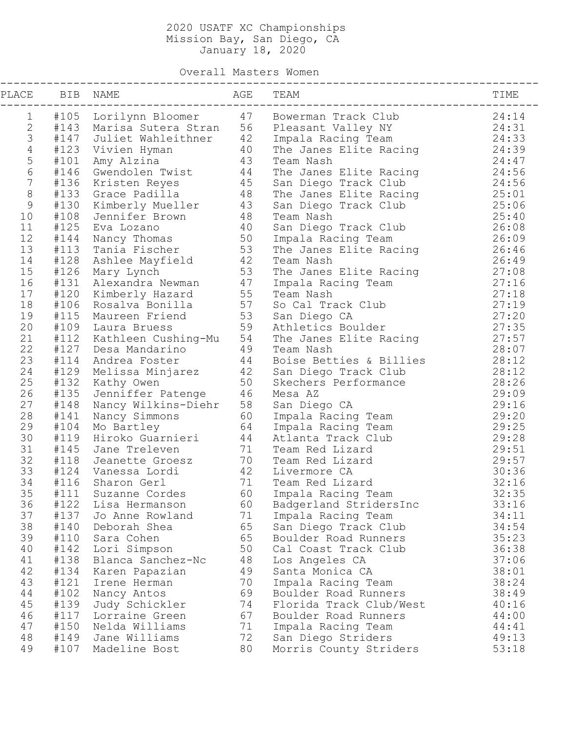Overall Masters Women

| PLACE          |      | BIB NAME                                                                                                                                                                                                                                                  | AGE | TEAM                                                                                                                                                                           | TIME  |
|----------------|------|-----------------------------------------------------------------------------------------------------------------------------------------------------------------------------------------------------------------------------------------------------------|-----|--------------------------------------------------------------------------------------------------------------------------------------------------------------------------------|-------|
| $\mathbf 1$    |      |                                                                                                                                                                                                                                                           |     | #105 Lorilynn Bloomer     47 Bowerman Track Club                                                                                                                               | 24:14 |
| $\mathbf{2}$   |      |                                                                                                                                                                                                                                                           |     |                                                                                                                                                                                | 24:31 |
| $\mathcal{S}$  |      |                                                                                                                                                                                                                                                           |     |                                                                                                                                                                                | 24:33 |
| $\overline{4}$ |      |                                                                                                                                                                                                                                                           |     | The Janes Elite Racing                                                                                                                                                         | 24:39 |
| 5              |      |                                                                                                                                                                                                                                                           |     | #143 Marisa Sutera Stran 56 Pleasant Valley NY<br>#147 Juliet Wahleithner 42 Impala Racing Team<br>#123 Vivien Hyman 40 The Janes Elite Racing<br>#101 Amy Alzina 43 Team Nash | 24:47 |
| $6\,$          |      | #101 Amy Alzına (* 1920)<br>#146 Gwendolen Twist (* 44)<br>#136 Kristen Reyes (* 45)<br>#133 Grace Padilla (* 48)                                                                                                                                         |     | The Janes Elite Racing                                                                                                                                                         | 24:56 |
| $7\phantom{.}$ |      |                                                                                                                                                                                                                                                           |     | San Diego Track Club                                                                                                                                                           | 24:56 |
| $\,8\,$        |      |                                                                                                                                                                                                                                                           |     | The Janes Elite Racing                                                                                                                                                         | 25:01 |
| 9              |      |                                                                                                                                                                                                                                                           |     | San Diego Track Club                                                                                                                                                           | 25:06 |
| 10             |      | #130 Kimberly Mueller 43<br>#108 Jennifer Brown 48<br>#125 T-                                                                                                                                                                                             |     | Team Nash                                                                                                                                                                      | 25:40 |
| 11             |      |                                                                                                                                                                                                                                                           |     | San Diego Track Club                                                                                                                                                           | 26:08 |
| 12             |      |                                                                                                                                                                                                                                                           |     | Impala Racing Team                                                                                                                                                             | 26:09 |
| 13             |      |                                                                                                                                                                                                                                                           |     | The Janes Elite Racing                                                                                                                                                         | 26:46 |
| 14             |      |                                                                                                                                                                                                                                                           |     | Team Nash                                                                                                                                                                      | 26:49 |
| 15             |      |                                                                                                                                                                                                                                                           |     | The Janes Elite Racing                                                                                                                                                         | 27:08 |
| 16             |      |                                                                                                                                                                                                                                                           |     | Impala Racing Team                                                                                                                                                             | 27:16 |
| 17             |      |                                                                                                                                                                                                                                                           |     | Team Nash                                                                                                                                                                      | 27:18 |
| 18             |      |                                                                                                                                                                                                                                                           |     | So Cal Track Club                                                                                                                                                              | 27:19 |
| 19             |      |                                                                                                                                                                                                                                                           |     | San Diego CA                                                                                                                                                                   | 27:20 |
| 20             |      |                                                                                                                                                                                                                                                           |     | Athletics Boulder                                                                                                                                                              | 27:35 |
| 21             |      |                                                                                                                                                                                                                                                           |     | The Janes Elite Racing                                                                                                                                                         | 27:57 |
| 22             |      |                                                                                                                                                                                                                                                           |     | Team Nash                                                                                                                                                                      | 28:07 |
| 23             |      |                                                                                                                                                                                                                                                           |     | Boise Betties & Billies                                                                                                                                                        | 28:12 |
| 24             |      |                                                                                                                                                                                                                                                           |     | San Diego Track Club                                                                                                                                                           | 28:12 |
| 25             |      | #130 Kimberly Mueller<br>#108 Jennifer Brown 48<br>#125 Eva Lozano 40<br>#144 Nancy Thomas 50<br>#113 Tania Fischer 53<br>#128 Ashlee Mayfield 42<br>#126 Mary Lynch 53<br>#131 Alexandra Newman 47<br>#120 Kimberly Hazard 55<br>#116 Rosalva Bonilla 57 |     | Skechers Performance                                                                                                                                                           | 28:26 |
| 26             |      | #135 Jenniffer Patenge<br>#148 Nancy Wilkins-Diehr 58<br>#141 Nancy Simmons 60<br>#104 Mo Bartley 64<br>#119 Hiroko Guarnieri 44<br>#145 Jane Treleven 71                                                                                                 |     | Mesa AZ                                                                                                                                                                        | 29:09 |
| 27             |      |                                                                                                                                                                                                                                                           |     | San Diego CA                                                                                                                                                                   | 29:16 |
| 28             |      |                                                                                                                                                                                                                                                           |     | Impala Racing Team                                                                                                                                                             | 29:20 |
| 29             |      |                                                                                                                                                                                                                                                           |     | Impala Racing Team                                                                                                                                                             | 29:25 |
| 30             |      |                                                                                                                                                                                                                                                           |     | Atlanta Track Club                                                                                                                                                             | 29:28 |
| 31             |      |                                                                                                                                                                                                                                                           |     | Team Red Lizard                                                                                                                                                                | 29:51 |
| 32             |      |                                                                                                                                                                                                                                                           |     | Team Red Lizard                                                                                                                                                                | 29:57 |
| 33             |      |                                                                                                                                                                                                                                                           |     |                                                                                                                                                                                | 30:36 |
| 34             |      |                                                                                                                                                                                                                                                           |     | Team Red Lizard                                                                                                                                                                | 32:16 |
| 35             |      | #119 Hiroko Guarniei<br>#119 Hiroko Guarniei<br>#145 Jane Treleven 71 Team<br>#118 Jeanette Groesz 70 Team Red Liza<br>#124 Vanessa Lordi 42 Livermore CA<br>71 Team Red Liza<br>71 Team Red Liza<br>#111 Suzanne Cordes 60 Impala Racing Team            |     |                                                                                                                                                                                | 32:35 |
| 36             | #122 | Lisa Hermanson                                                                                                                                                                                                                                            | 60  | Badgerland StridersInc                                                                                                                                                         | 33:16 |
| 37             | #137 | Jo Anne Rowland                                                                                                                                                                                                                                           | 71  | Impala Racing Team                                                                                                                                                             | 34:11 |
| 38             | #140 | Deborah Shea                                                                                                                                                                                                                                              | 65  | San Diego Track Club                                                                                                                                                           | 34:54 |
| 39             | #110 | Sara Cohen                                                                                                                                                                                                                                                | 65  | Boulder Road Runners                                                                                                                                                           | 35:23 |
| 40             | #142 | Lori Simpson                                                                                                                                                                                                                                              | 50  | Cal Coast Track Club                                                                                                                                                           | 36:38 |
| 41             | #138 | Blanca Sanchez-Nc                                                                                                                                                                                                                                         | 48  | Los Angeles CA                                                                                                                                                                 | 37:06 |
| 42             | #134 | Karen Papazian                                                                                                                                                                                                                                            | 49  | Santa Monica CA                                                                                                                                                                | 38:01 |
| 43             | #121 | Irene Herman                                                                                                                                                                                                                                              | 70  | Impala Racing Team                                                                                                                                                             | 38:24 |
| 44             | #102 | Nancy Antos                                                                                                                                                                                                                                               | 69  | Boulder Road Runners                                                                                                                                                           | 38:49 |
| 45             | #139 | Judy Schickler                                                                                                                                                                                                                                            | 74  | Florida Track Club/West                                                                                                                                                        | 40:16 |
| 46             | #117 | Lorraine Green                                                                                                                                                                                                                                            | 67  | Boulder Road Runners                                                                                                                                                           | 44:00 |
| 47             | #150 | Nelda Williams                                                                                                                                                                                                                                            | 71  | Impala Racing Team                                                                                                                                                             | 44:41 |
| 48             | #149 | Jane Williams                                                                                                                                                                                                                                             | 72  | San Diego Striders                                                                                                                                                             | 49:13 |
| 49             | #107 | Madeline Bost                                                                                                                                                                                                                                             | 80  | Morris County Striders                                                                                                                                                         | 53:18 |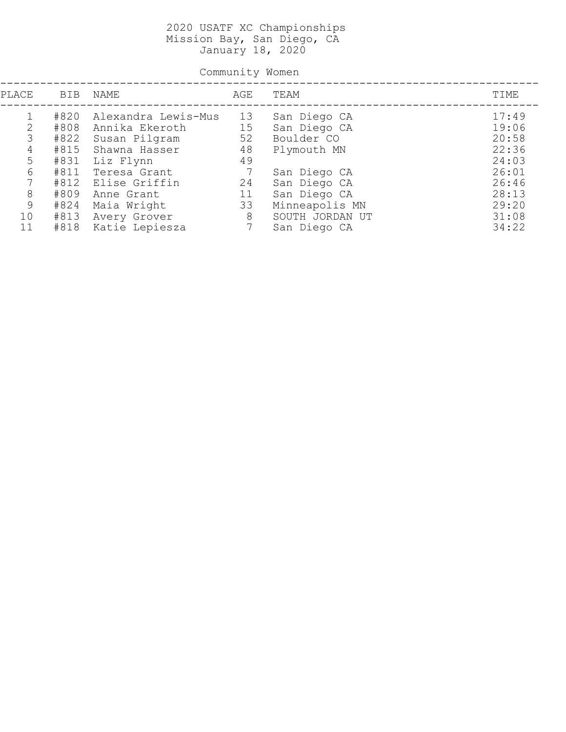Community Women

| PLACE | BIB  | NAME                | AGE | TEAM            | TIME  |
|-------|------|---------------------|-----|-----------------|-------|
|       | #820 | Alexandra Lewis-Mus | 13  | San Diego CA    | 17:49 |
| 2     | #808 | Annika Ekeroth      | 15  | San Diego CA    | 19:06 |
| 3     | #822 | Susan Pilgram       | 52  | Boulder CO      | 20:58 |
| 4     | #815 | Shawna Hasser       | 48  | Plymouth MN     | 22:36 |
| 5     | #831 | Liz Flynn           | 49  |                 | 24:03 |
| 6     | #811 | Teresa Grant        | -7  | San Diego CA    | 26:01 |
|       | #812 | Elise Griffin       | 24  | San Diego CA    | 26:46 |
| 8     | #809 | Anne Grant          | 11  | San Diego CA    | 28:13 |
| 9     | #824 | Maia Wright         | 33  | Minneapolis MN  | 29:20 |
| 10    | #813 | Avery Grover        | 8   | SOUTH JORDAN UT | 31:08 |
| 11    | #818 | Katie Lepiesza      | 7   | San Diego CA    | 34:22 |
|       |      |                     |     |                 |       |